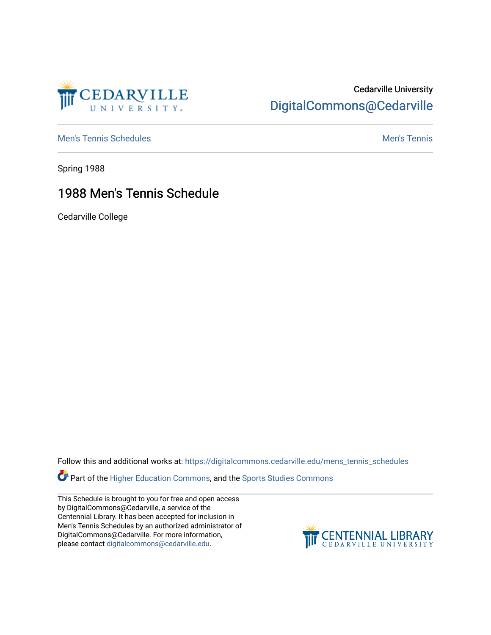

## Cedarville University [DigitalCommons@Cedarville](https://digitalcommons.cedarville.edu/)

[Men's Tennis Schedules](https://digitalcommons.cedarville.edu/mens_tennis_schedules) [Men's Tennis](https://digitalcommons.cedarville.edu/mens_tennis) Schedules Men's Tennis Schedules Men's Tennis

Spring 1988

## 1988 Men's Tennis Schedule

Cedarville College

Follow this and additional works at: [https://digitalcommons.cedarville.edu/mens\\_tennis\\_schedules](https://digitalcommons.cedarville.edu/mens_tennis_schedules?utm_source=digitalcommons.cedarville.edu%2Fmens_tennis_schedules%2F20&utm_medium=PDF&utm_campaign=PDFCoverPages) 

**Part of the [Higher Education Commons,](http://network.bepress.com/hgg/discipline/1245?utm_source=digitalcommons.cedarville.edu%2Fmens_tennis_schedules%2F20&utm_medium=PDF&utm_campaign=PDFCoverPages) and the Sports Studies Commons** 

This Schedule is brought to you for free and open access by DigitalCommons@Cedarville, a service of the Centennial Library. It has been accepted for inclusion in Men's Tennis Schedules by an authorized administrator of DigitalCommons@Cedarville. For more information, please contact [digitalcommons@cedarville.edu](mailto:digitalcommons@cedarville.edu).